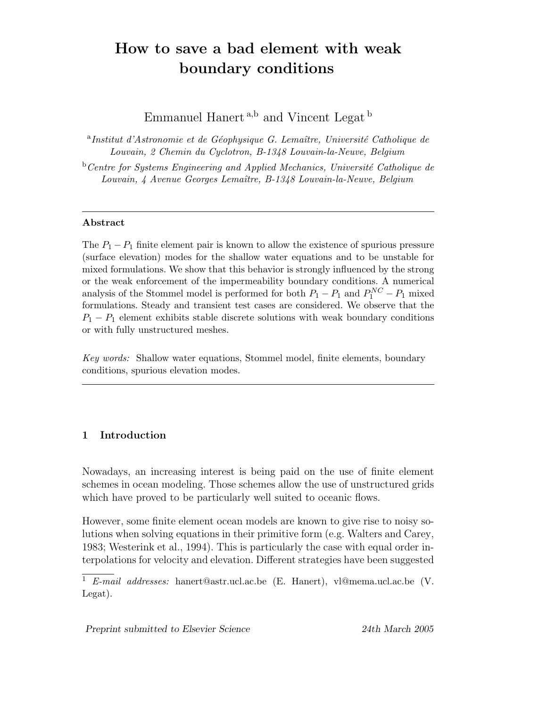# How to save a bad element with weak boundary conditions

Emmanuel Hanert $^{\mathrm{a,b}}$  and Vincent Legat $^{\mathrm{b}}$ 

<sup>a</sup>Institut d'Astronomie et de Géophysique G. Lemaître, Université Catholique de Louvain, 2 Chemin du Cyclotron, B-1348 Louvain-la-Neuve, Belgium

 $b$ <sup>b</sup>Centre for Systems Engineering and Applied Mechanics, Université Catholique de Louvain, 4 Avenue Georges Lemaître, B-1348 Louvain-la-Neuve, Belgium

#### Abstract

The  $P_1 - P_1$  finite element pair is known to allow the existence of spurious pressure (surface elevation) modes for the shallow water equations and to be unstable for mixed formulations. We show that this behavior is strongly influenced by the strong or the weak enforcement of the impermeability boundary conditions. A numerical analysis of the Stommel model is performed for both  $P_1 - P_1$  and  $P_1^{NC} - P_1$  mixed formulations. Steady and transient test cases are considered. We observe that the  $P_1 - P_1$  element exhibits stable discrete solutions with weak boundary conditions or with fully unstructured meshes.

Key words: Shallow water equations, Stommel model, finite elements, boundary conditions, spurious elevation modes.

### 1 Introduction

Nowadays, an increasing interest is being paid on the use of finite element schemes in ocean modeling. Those schemes allow the use of unstructured grids which have proved to be particularly well suited to oceanic flows.

However, some finite element ocean models are known to give rise to noisy solutions when solving equations in their primitive form (e.g. Walters and Carey, 1983; Westerink et al., 1994). This is particularly the case with equal order interpolations for velocity and elevation. Different strategies have been suggested

 $\overline{1}$  E-mail addresses: hanert@astr.ucl.ac.be (E. Hanert), vl@mema.ucl.ac.be (V. Legat).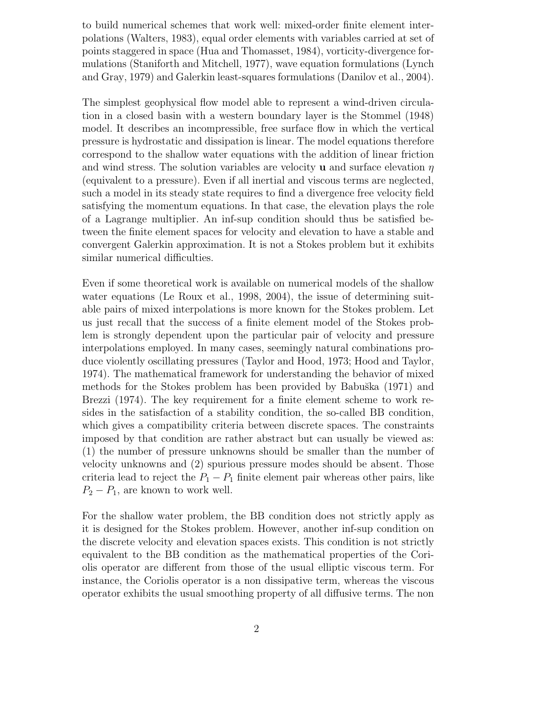to build numerical schemes that work well: mixed-order finite element interpolations (Walters, 1983), equal order elements with variables carried at set of points staggered in space (Hua and Thomasset, 1984), vorticity-divergence formulations (Staniforth and Mitchell, 1977), wave equation formulations (Lynch and Gray, 1979) and Galerkin least-squares formulations (Danilov et al., 2004).

The simplest geophysical flow model able to represent a wind-driven circulation in a closed basin with a western boundary layer is the Stommel (1948) model. It describes an incompressible, free surface flow in which the vertical pressure is hydrostatic and dissipation is linear. The model equations therefore correspond to the shallow water equations with the addition of linear friction and wind stress. The solution variables are velocity **u** and surface elevation  $\eta$ (equivalent to a pressure). Even if all inertial and viscous terms are neglected, such a model in its steady state requires to find a divergence free velocity field satisfying the momentum equations. In that case, the elevation plays the role of a Lagrange multiplier. An inf-sup condition should thus be satisfied between the finite element spaces for velocity and elevation to have a stable and convergent Galerkin approximation. It is not a Stokes problem but it exhibits similar numerical difficulties.

Even if some theoretical work is available on numerical models of the shallow water equations (Le Roux et al., 1998, 2004), the issue of determining suitable pairs of mixed interpolations is more known for the Stokes problem. Let us just recall that the success of a finite element model of the Stokes problem is strongly dependent upon the particular pair of velocity and pressure interpolations employed. In many cases, seemingly natural combinations produce violently oscillating pressures (Taylor and Hood, 1973; Hood and Taylor, 1974). The mathematical framework for understanding the behavior of mixed methods for the Stokes problem has been provided by Babuška (1971) and Brezzi (1974). The key requirement for a finite element scheme to work resides in the satisfaction of a stability condition, the so-called BB condition, which gives a compatibility criteria between discrete spaces. The constraints imposed by that condition are rather abstract but can usually be viewed as: (1) the number of pressure unknowns should be smaller than the number of velocity unknowns and (2) spurious pressure modes should be absent. Those criteria lead to reject the  $P_1 - P_1$  finite element pair whereas other pairs, like  $P_2 - P_1$ , are known to work well.

For the shallow water problem, the BB condition does not strictly apply as it is designed for the Stokes problem. However, another inf-sup condition on the discrete velocity and elevation spaces exists. This condition is not strictly equivalent to the BB condition as the mathematical properties of the Coriolis operator are different from those of the usual elliptic viscous term. For instance, the Coriolis operator is a non dissipative term, whereas the viscous operator exhibits the usual smoothing property of all diffusive terms. The non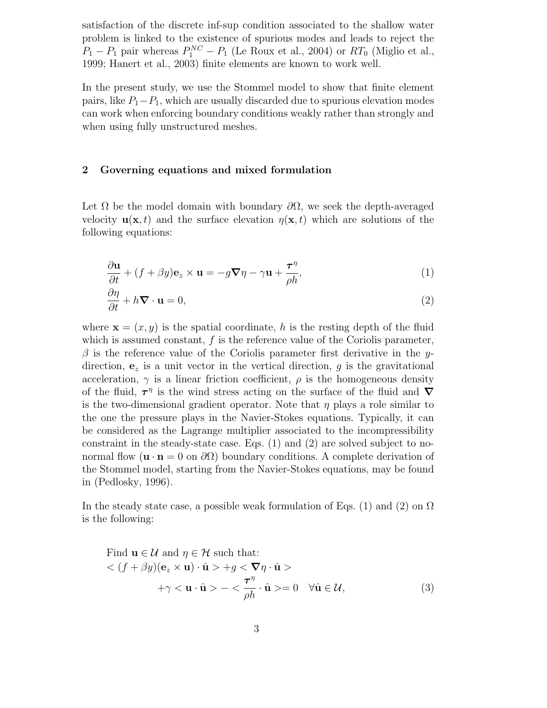satisfaction of the discrete inf-sup condition associated to the shallow water problem is linked to the existence of spurious modes and leads to reject the  $P_1 - P_1$  pair whereas  $P_1^{NC} - P_1$  (Le Roux et al., 2004) or  $RT_0$  (Miglio et al., 1999; Hanert et al., 2003) finite elements are known to work well.

In the present study, we use the Stommel model to show that finite element pairs, like  $P_1-P_1$ , which are usually discarded due to spurious elevation modes can work when enforcing boundary conditions weakly rather than strongly and when using fully unstructured meshes.

#### 2 Governing equations and mixed formulation

Let  $\Omega$  be the model domain with boundary  $\partial\Omega$ , we seek the depth-averaged velocity  $\mathbf{u}(\mathbf{x},t)$  and the surface elevation  $\eta(\mathbf{x},t)$  which are solutions of the following equations:

$$
\frac{\partial \mathbf{u}}{\partial t} + (f + \beta y)\mathbf{e}_z \times \mathbf{u} = -g\nabla \eta - \gamma \mathbf{u} + \frac{\tau^{\eta}}{\rho h},\tag{1}
$$

$$
\frac{\partial \eta}{\partial t} + h \nabla \cdot \mathbf{u} = 0, \tag{2}
$$

where  $\mathbf{x} = (x, y)$  is the spatial coordinate, h is the resting depth of the fluid which is assumed constant,  $f$  is the reference value of the Coriolis parameter,  $\beta$  is the reference value of the Coriolis parameter first derivative in the ydirection,  $e_z$  is a unit vector in the vertical direction, g is the gravitational acceleration,  $\gamma$  is a linear friction coefficient,  $\rho$  is the homogeneous density of the fluid,  $\tau^{\eta}$  is the wind stress acting on the surface of the fluid and  $\nabla$ is the two-dimensional gradient operator. Note that  $\eta$  plays a role similar to the one the pressure plays in the Navier-Stokes equations. Typically, it can be considered as the Lagrange multiplier associated to the incompressibility constraint in the steady-state case. Eqs. (1) and (2) are solved subject to nonormal flow  $(\mathbf{u} \cdot \mathbf{n} = 0 \text{ on } \partial\Omega)$  boundary conditions. A complete derivation of the Stommel model, starting from the Navier-Stokes equations, may be found in (Pedlosky, 1996).

In the steady state case, a possible weak formulation of Eqs. (1) and (2) on  $\Omega$ is the following:

Find 
$$
\mathbf{u} \in \mathcal{U}
$$
 and  $\eta \in \mathcal{H}$  such that:  
\n
$$
\langle (f + \beta y)(\mathbf{e}_z \times \mathbf{u}) \cdot \hat{\mathbf{u}} \rangle + g \langle \nabla \eta \cdot \hat{\mathbf{u}} \rangle
$$
\n
$$
+ \gamma \langle \mathbf{u} \cdot \hat{\mathbf{u}} \rangle - \langle \frac{\tau^{\eta}}{\rho h} \cdot \hat{\mathbf{u}} \rangle = 0 \quad \forall \hat{\mathbf{u}} \in \mathcal{U},
$$
\n(3)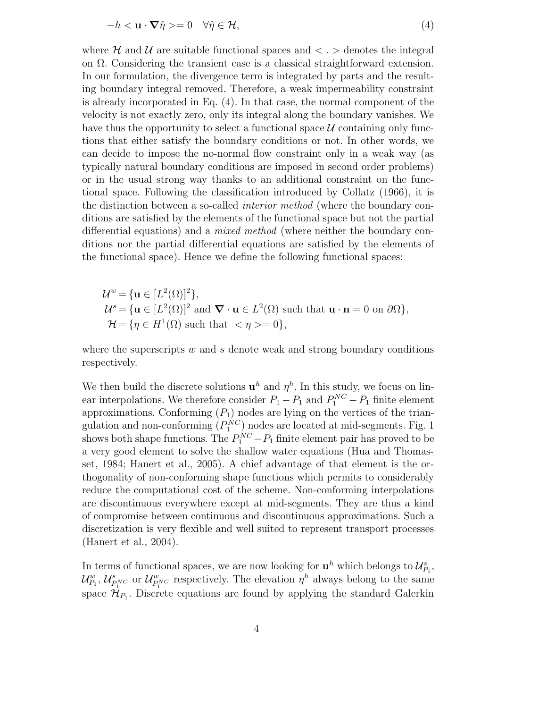$$
-h < \mathbf{u} \cdot \nabla \hat{\eta} > = 0 \quad \forall \hat{\eta} \in \mathcal{H},\tag{4}
$$

where H and U are suitable functional spaces and  $\langle . \rangle$  denotes the integral on  $\Omega$ . Considering the transient case is a classical straightforward extension. In our formulation, the divergence term is integrated by parts and the resulting boundary integral removed. Therefore, a weak impermeability constraint is already incorporated in Eq. (4). In that case, the normal component of the velocity is not exactly zero, only its integral along the boundary vanishes. We have thus the opportunity to select a functional space  $U$  containing only functions that either satisfy the boundary conditions or not. In other words, we can decide to impose the no-normal flow constraint only in a weak way (as typically natural boundary conditions are imposed in second order problems) or in the usual strong way thanks to an additional constraint on the functional space. Following the classification introduced by Collatz (1966), it is the distinction between a so-called interior method (where the boundary conditions are satisfied by the elements of the functional space but not the partial differential equations) and a *mixed method* (where neither the boundary conditions nor the partial differential equations are satisfied by the elements of the functional space). Hence we define the following functional spaces:

 $\mathcal{U}^w = {\mathbf{u} \in [L^2(\Omega)]^2},$  $\mathcal{U}^s = {\mathbf{u} \in [L^2(\Omega)]^2 \text{ and } \nabla \cdot \mathbf{u} \in L^2(\Omega) \text{ such that } \mathbf{u} \cdot \mathbf{n} = 0 \text{ on } \partial \Omega},$  $\mathcal{H} = {\eta \in H^1(\Omega) \text{ such that } < \eta > = 0},$ 

where the superscripts  $w$  and  $s$  denote weak and strong boundary conditions respectively.

We then build the discrete solutions  $\mathbf{u}^h$  and  $\eta^h$ . In this study, we focus on linear interpolations. We therefore consider  $P_1 - P_1$  and  $P_1^{NC} - P_1$  finite element approximations. Conforming  $(P_1)$  nodes are lying on the vertices of the triangulation and non-conforming  $(P_1^{NC})$  nodes are located at mid-segments. Fig. 1 shows both shape functions. The  $P_1^{NC} - P_1$  finite element pair has proved to be a very good element to solve the shallow water equations (Hua and Thomasset, 1984; Hanert et al., 2005). A chief advantage of that element is the orthogonality of non-conforming shape functions which permits to considerably reduce the computational cost of the scheme. Non-conforming interpolations are discontinuous everywhere except at mid-segments. They are thus a kind of compromise between continuous and discontinuous approximations. Such a discretization is very flexible and well suited to represent transport processes (Hanert et al., 2004).

In terms of functional spaces, we are now looking for  $\mathbf{u}^h$  which belongs to  $\mathcal{U}_{P_1}^s$ ,  $\mathcal{U}_{P_1}^w, \mathcal{U}_{P_1^{NC}}^s$  or  $\mathcal{U}_{P_1^{WC}}^w$  respectively. The elevation  $\eta^h$  always belong to the same space  $\mathcal{H}_{P_1}$ . Discrete equations are found by applying the standard Galerkin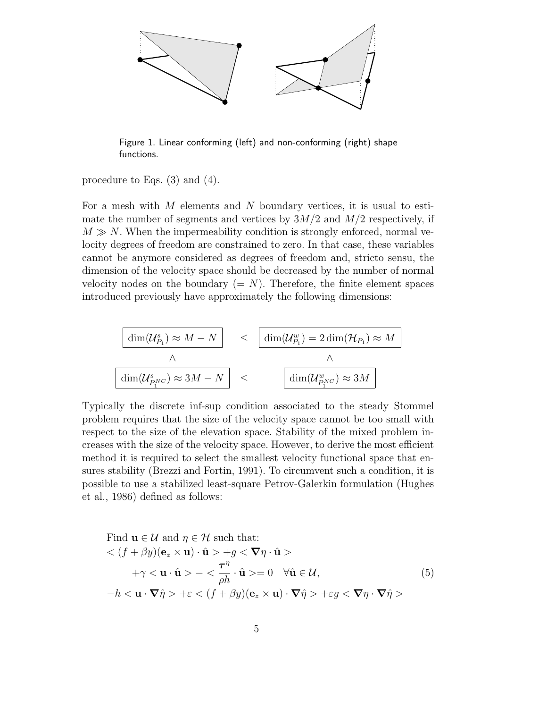

Figure 1. Linear conforming (left) and non-conforming (right) shape functions.

procedure to Eqs. (3) and (4).

For a mesh with  $M$  elements and  $N$  boundary vertices, it is usual to estimate the number of segments and vertices by  $3M/2$  and  $M/2$  respectively, if  $M \gg N$ . When the impermeability condition is strongly enforced, normal velocity degrees of freedom are constrained to zero. In that case, these variables cannot be anymore considered as degrees of freedom and, stricto sensu, the dimension of the velocity space should be decreased by the number of normal velocity nodes on the boundary  $(= N)$ . Therefore, the finite element spaces introduced previously have approximately the following dimensions:

$$
\boxed{\dim(\mathcal{U}_{P_1}^s) \approx M - N} < \boxed{\dim(\mathcal{U}_{P_1}^w) = 2 \dim(\mathcal{H}_{P_1}) \approx M}
$$
\n
$$
\frac{\wedge}{\dim(\mathcal{U}_{P_1}^s \times \mathcal{U}) \approx 3M - N} < \boxed{\dim(\mathcal{U}_{P_1}^w \times \mathcal{U}) \approx 3M}
$$

Typically the discrete inf-sup condition associated to the steady Stommel problem requires that the size of the velocity space cannot be too small with respect to the size of the elevation space. Stability of the mixed problem increases with the size of the velocity space. However, to derive the most efficient method it is required to select the smallest velocity functional space that ensures stability (Brezzi and Fortin, 1991). To circumvent such a condition, it is possible to use a stabilized least-square Petrov-Galerkin formulation (Hughes et al., 1986) defined as follows:

Find 
$$
\mathbf{u} \in \mathcal{U}
$$
 and  $\eta \in \mathcal{H}$  such that:  
\n
$$
\langle (f + \beta y)(\mathbf{e}_z \times \mathbf{u}) \cdot \hat{\mathbf{u}} \rangle + g \langle \nabla \eta \cdot \hat{\mathbf{u}} \rangle
$$
\n
$$
+ \gamma \langle \mathbf{u} \cdot \hat{\mathbf{u}} \rangle - \langle \frac{\tau^{\eta}}{\rho h} \cdot \hat{\mathbf{u}} \rangle = 0 \quad \forall \hat{\mathbf{u}} \in \mathcal{U},
$$
\n
$$
-h \langle \mathbf{u} \cdot \nabla \hat{\eta} \rangle + \varepsilon \langle (f + \beta y)(\mathbf{e}_z \times \mathbf{u}) \cdot \nabla \hat{\eta} \rangle + \varepsilon g \langle \nabla \eta \cdot \nabla \hat{\eta} \rangle
$$
\n(5)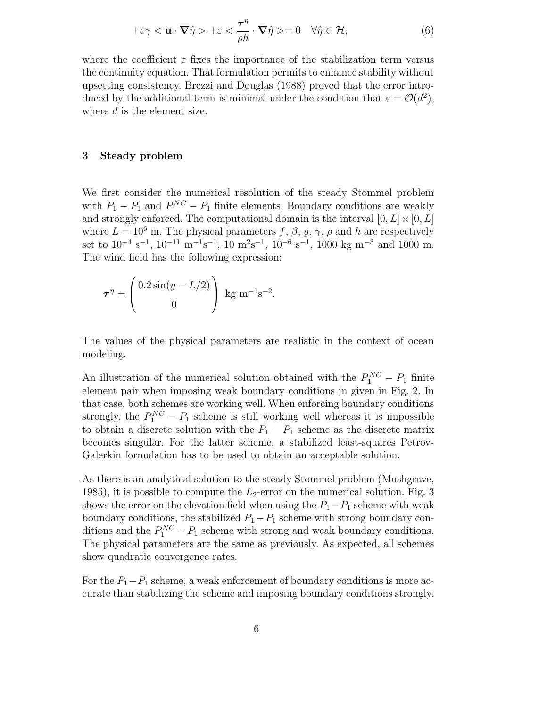$$
+\varepsilon \gamma < \mathbf{u} \cdot \nabla \hat{\eta} > +\varepsilon < \frac{\tau^{\eta}}{\rho h} \cdot \nabla \hat{\eta} > = 0 \quad \forall \hat{\eta} \in \mathcal{H},\tag{6}
$$

where the coefficient  $\varepsilon$  fixes the importance of the stabilization term versus the continuity equation. That formulation permits to enhance stability without upsetting consistency. Brezzi and Douglas (1988) proved that the error introduced by the additional term is minimal under the condition that  $\varepsilon = \mathcal{O}(d^2)$ , where d is the element size.

#### 3 Steady problem

We first consider the numerical resolution of the steady Stommel problem with  $P_1 - P_1$  and  $P_1^{NC} - P_1$  finite elements. Boundary conditions are weakly and strongly enforced. The computational domain is the interval  $[0, L] \times [0, L]$ where  $L = 10^6$  m. The physical parameters f,  $\beta$ , g,  $\gamma$ ,  $\rho$  and h are respectively set to  $10^{-4}$  s<sup>-1</sup>,  $10^{-11}$  m<sup>-1</sup>s<sup>-1</sup>,  $10$  m<sup>2</sup>s<sup>-1</sup>,  $10^{-6}$  s<sup>-1</sup>, 1000 kg m<sup>-3</sup> and 1000 m. The wind field has the following expression:

$$
\tau^{\eta} = \begin{pmatrix} 0.2\sin(y - L/2) \\ 0 \end{pmatrix} \text{ kg m}^{-1} \text{s}^{-2}.
$$

The values of the physical parameters are realistic in the context of ocean modeling.

An illustration of the numerical solution obtained with the  $P_1^{NC} - P_1$  finite element pair when imposing weak boundary conditions in given in Fig. 2. In that case, both schemes are working well. When enforcing boundary conditions strongly, the  $P_1^{NC} - P_1$  scheme is still working well whereas it is impossible to obtain a discrete solution with the  $P_1 - P_1$  scheme as the discrete matrix becomes singular. For the latter scheme, a stabilized least-squares Petrov-Galerkin formulation has to be used to obtain an acceptable solution.

As there is an analytical solution to the steady Stommel problem (Mushgrave, 1985), it is possible to compute the  $L_2$ -error on the numerical solution. Fig. 3 shows the error on the elevation field when using the  $P_1-P_1$  scheme with weak boundary conditions, the stabilized  $P_1-P_1$  scheme with strong boundary conditions and the  $P_1^{NC} - P_1$  scheme with strong and weak boundary conditions. The physical parameters are the same as previously. As expected, all schemes show quadratic convergence rates.

For the  $P_1-P_1$  scheme, a weak enforcement of boundary conditions is more accurate than stabilizing the scheme and imposing boundary conditions strongly.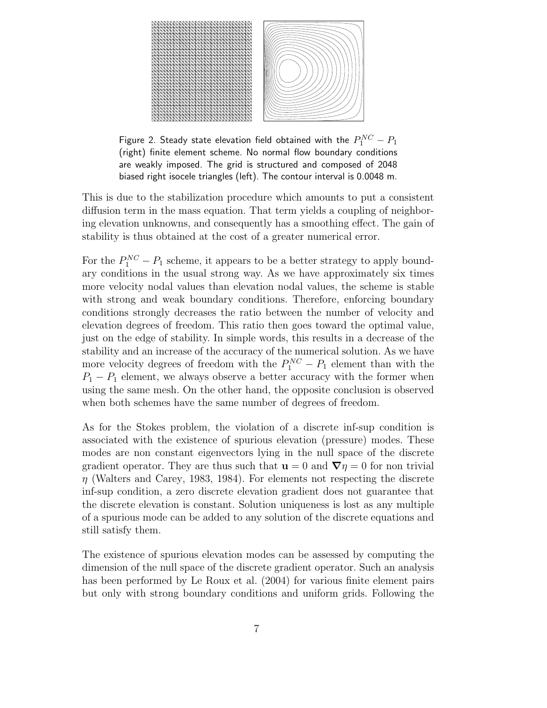

Figure 2. Steady state elevation field obtained with the  $P_1^{NC} - P_1$ (right) finite element scheme. No normal flow boundary conditions are weakly imposed. The grid is structured and composed of 2048 biased right isocele triangles (left). The contour interval is 0.0048 m.

This is due to the stabilization procedure which amounts to put a consistent diffusion term in the mass equation. That term yields a coupling of neighboring elevation unknowns, and consequently has a smoothing effect. The gain of stability is thus obtained at the cost of a greater numerical error.

For the  $P_1^{NC} - P_1$  scheme, it appears to be a better strategy to apply boundary conditions in the usual strong way. As we have approximately six times more velocity nodal values than elevation nodal values, the scheme is stable with strong and weak boundary conditions. Therefore, enforcing boundary conditions strongly decreases the ratio between the number of velocity and elevation degrees of freedom. This ratio then goes toward the optimal value, just on the edge of stability. In simple words, this results in a decrease of the stability and an increase of the accuracy of the numerical solution. As we have more velocity degrees of freedom with the  $P_1^{NC} - P_1$  element than with the  $P_1 - P_1$  element, we always observe a better accuracy with the former when using the same mesh. On the other hand, the opposite conclusion is observed when both schemes have the same number of degrees of freedom.

As for the Stokes problem, the violation of a discrete inf-sup condition is associated with the existence of spurious elevation (pressure) modes. These modes are non constant eigenvectors lying in the null space of the discrete gradient operator. They are thus such that  $\mathbf{u} = 0$  and  $\nabla \eta = 0$  for non trivial  $\eta$  (Walters and Carey, 1983, 1984). For elements not respecting the discrete inf-sup condition, a zero discrete elevation gradient does not guarantee that the discrete elevation is constant. Solution uniqueness is lost as any multiple of a spurious mode can be added to any solution of the discrete equations and still satisfy them.

The existence of spurious elevation modes can be assessed by computing the dimension of the null space of the discrete gradient operator. Such an analysis has been performed by Le Roux et al. (2004) for various finite element pairs but only with strong boundary conditions and uniform grids. Following the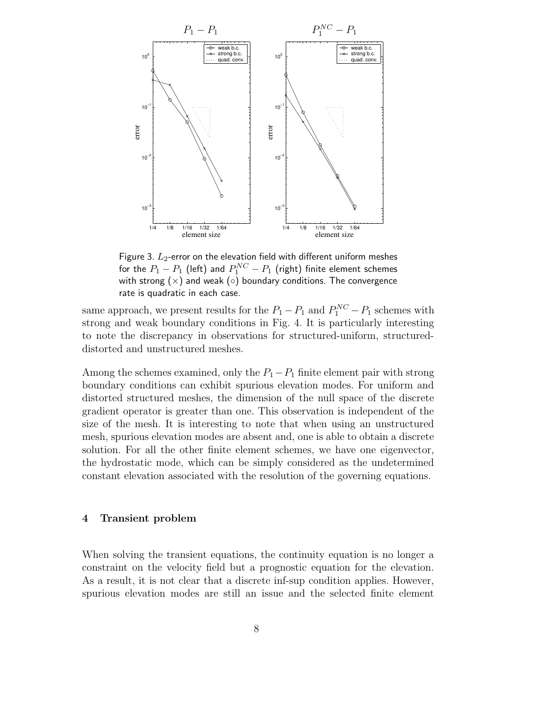

Figure 3.  $L_2$ -error on the elevation field with different uniform meshes for the  $P_1 - P_1$  (left) and  $P_1^{NC} - P_1$  (right) finite element schemes with strong  $(x)$  and weak  $( \circ )$  boundary conditions. The convergence rate is quadratic in each case.

same approach, we present results for the  $P_1 - P_1$  and  $P_1^{NC} - P_1$  schemes with strong and weak boundary conditions in Fig. 4. It is particularly interesting to note the discrepancy in observations for structured-uniform, structureddistorted and unstructured meshes.

Among the schemes examined, only the  $P_1-P_1$  finite element pair with strong boundary conditions can exhibit spurious elevation modes. For uniform and distorted structured meshes, the dimension of the null space of the discrete gradient operator is greater than one. This observation is independent of the size of the mesh. It is interesting to note that when using an unstructured mesh, spurious elevation modes are absent and, one is able to obtain a discrete solution. For all the other finite element schemes, we have one eigenvector, the hydrostatic mode, which can be simply considered as the undetermined constant elevation associated with the resolution of the governing equations.

#### 4 Transient problem

When solving the transient equations, the continuity equation is no longer a constraint on the velocity field but a prognostic equation for the elevation. As a result, it is not clear that a discrete inf-sup condition applies. However, spurious elevation modes are still an issue and the selected finite element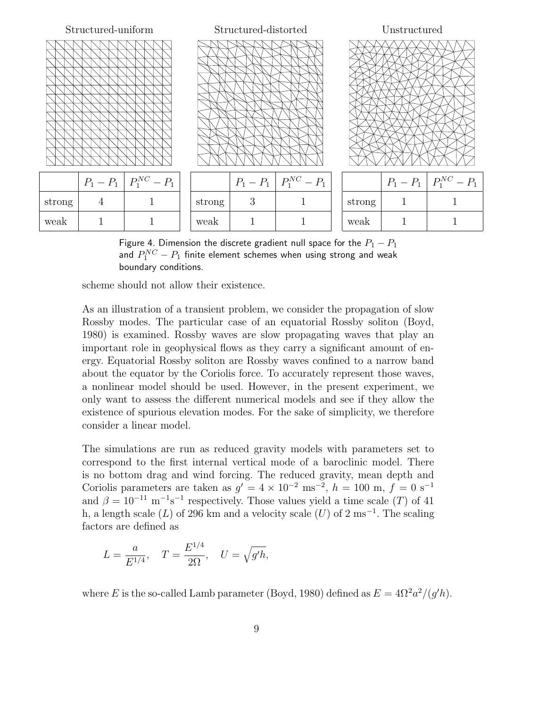

Figure 4. Dimension the discrete gradient null space for the  $P_1 - P_1$ and  $P_1^{NC}-P_1$  finite element schemes when using strong and weak boundary conditions.

scheme should not allow their existence.

As an illustration of a transient problem, we consider the propagation of slow Rossby modes. The particular case of an equatorial Rossby soliton (Boyd, 1980) is examined. Rossby waves are slow propagating waves that play an important role in geophysical flows as they carry a significant amount of energy. Equatorial Rossby soliton are Rossby waves confined to a narrow band about the equator by the Coriolis force. To accurately represent those waves, a nonlinear model should be used. However, in the present experiment, we only want to assess the different numerical models and see if they allow the existence of spurious elevation modes. For the sake of simplicity, we therefore consider a linear model.

The simulations are run as reduced gravity models with parameters set to correspond to the first internal vertical mode of a baroclinic model. There is no bottom drag and wind forcing. The reduced gravity, mean depth and Coriolis parameters are taken as  $g' = 4 \times 10^{-2}$  ms<sup>-2</sup>,  $h = 100$  m,  $f = 0$  s<sup>-1</sup> and  $\beta = 10^{-11} \text{ m}^{-1} \text{s}^{-1}$  respectively. Those values yield a time scale (T) of 41 h, a length scale (L) of 296 km and a velocity scale (U) of 2 ms<sup>-1</sup>. The scaling factors are defined as

$$
L = \frac{a}{E^{1/4}}, \quad T = \frac{E^{1/4}}{2\Omega}, \quad U = \sqrt{g'h},
$$

where E is the so-called Lamb parameter (Boyd, 1980) defined as  $E = 4\Omega^2 a^2/(g'h)$ .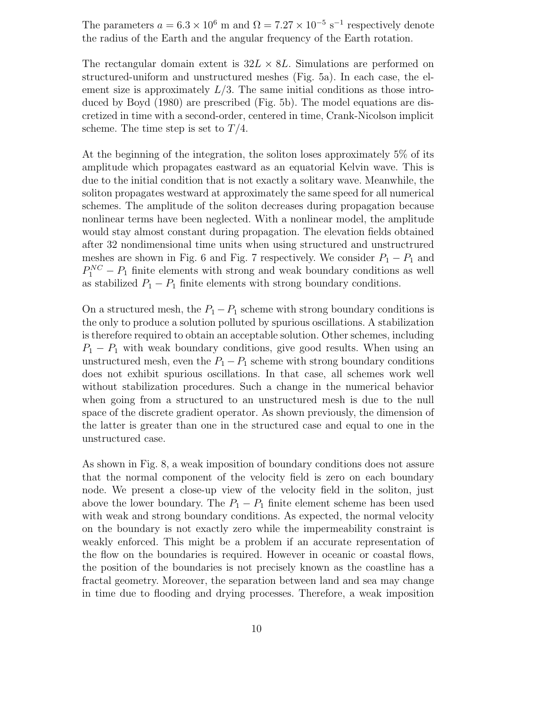The parameters  $a = 6.3 \times 10^6$  m and  $\Omega = 7.27 \times 10^{-5}$  s<sup>-1</sup> respectively denote the radius of the Earth and the angular frequency of the Earth rotation.

The rectangular domain extent is  $32L \times 8L$ . Simulations are performed on structured-uniform and unstructured meshes (Fig. 5a). In each case, the element size is approximately  $L/3$ . The same initial conditions as those introduced by Boyd (1980) are prescribed (Fig. 5b). The model equations are discretized in time with a second-order, centered in time, Crank-Nicolson implicit scheme. The time step is set to  $T/4$ .

At the beginning of the integration, the soliton loses approximately 5% of its amplitude which propagates eastward as an equatorial Kelvin wave. This is due to the initial condition that is not exactly a solitary wave. Meanwhile, the soliton propagates westward at approximately the same speed for all numerical schemes. The amplitude of the soliton decreases during propagation because nonlinear terms have been neglected. With a nonlinear model, the amplitude would stay almost constant during propagation. The elevation fields obtained after 32 nondimensional time units when using structured and unstructrured meshes are shown in Fig. 6 and Fig. 7 respectively. We consider  $P_1 - P_1$  and  $P_1^{NC} - P_1$  finite elements with strong and weak boundary conditions as well as stabilized  $P_1 - P_1$  finite elements with strong boundary conditions.

On a structured mesh, the  $P_1 - P_1$  scheme with strong boundary conditions is the only to produce a solution polluted by spurious oscillations. A stabilization is therefore required to obtain an acceptable solution. Other schemes, including  $P_1 - P_1$  with weak boundary conditions, give good results. When using an unstructured mesh, even the  $P_1 - P_1$  scheme with strong boundary conditions does not exhibit spurious oscillations. In that case, all schemes work well without stabilization procedures. Such a change in the numerical behavior when going from a structured to an unstructured mesh is due to the null space of the discrete gradient operator. As shown previously, the dimension of the latter is greater than one in the structured case and equal to one in the unstructured case.

As shown in Fig. 8, a weak imposition of boundary conditions does not assure that the normal component of the velocity field is zero on each boundary node. We present a close-up view of the velocity field in the soliton, just above the lower boundary. The  $P_1 - P_1$  finite element scheme has been used with weak and strong boundary conditions. As expected, the normal velocity on the boundary is not exactly zero while the impermeability constraint is weakly enforced. This might be a problem if an accurate representation of the flow on the boundaries is required. However in oceanic or coastal flows, the position of the boundaries is not precisely known as the coastline has a fractal geometry. Moreover, the separation between land and sea may change in time due to flooding and drying processes. Therefore, a weak imposition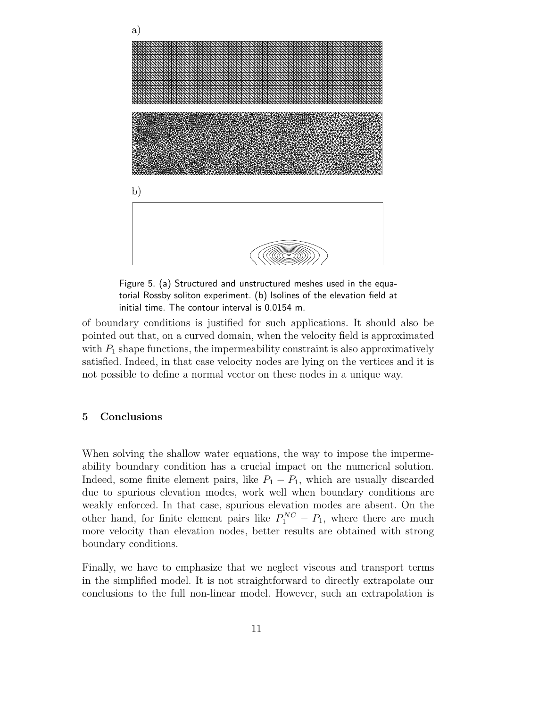

Figure 5. (a) Structured and unstructured meshes used in the equatorial Rossby soliton experiment. (b) Isolines of the elevation field at initial time. The contour interval is 0.0154 m.

of boundary conditions is justified for such applications. It should also be pointed out that, on a curved domain, when the velocity field is approximated with  $P_1$  shape functions, the impermeability constraint is also approximatively satisfied. Indeed, in that case velocity nodes are lying on the vertices and it is not possible to define a normal vector on these nodes in a unique way.

### 5 Conclusions

When solving the shallow water equations, the way to impose the impermeability boundary condition has a crucial impact on the numerical solution. Indeed, some finite element pairs, like  $P_1 - P_1$ , which are usually discarded due to spurious elevation modes, work well when boundary conditions are weakly enforced. In that case, spurious elevation modes are absent. On the other hand, for finite element pairs like  $P_1^{NC} - P_1$ , where there are much more velocity than elevation nodes, better results are obtained with strong boundary conditions.

Finally, we have to emphasize that we neglect viscous and transport terms in the simplified model. It is not straightforward to directly extrapolate our conclusions to the full non-linear model. However, such an extrapolation is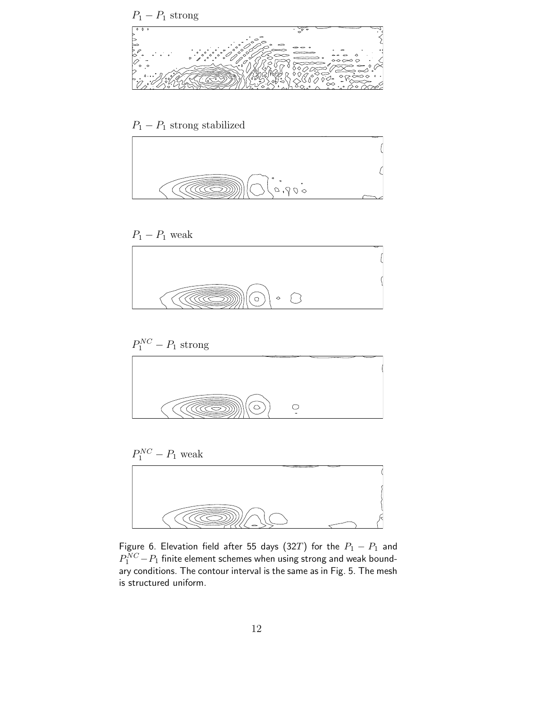

## $\mathcal{P}_1 - \mathcal{P}_1$  strong stabilized



### $P_1 - P_1$  weak











Figure 6. Elevation field after 55 days (32T) for the  $P_1 - P_1$  and  $P_1^{NC}\!-\!P_1$  finite element schemes when using strong and weak boundary conditions. The contour interval is the same as in Fig. 5. The mesh is structured uniform.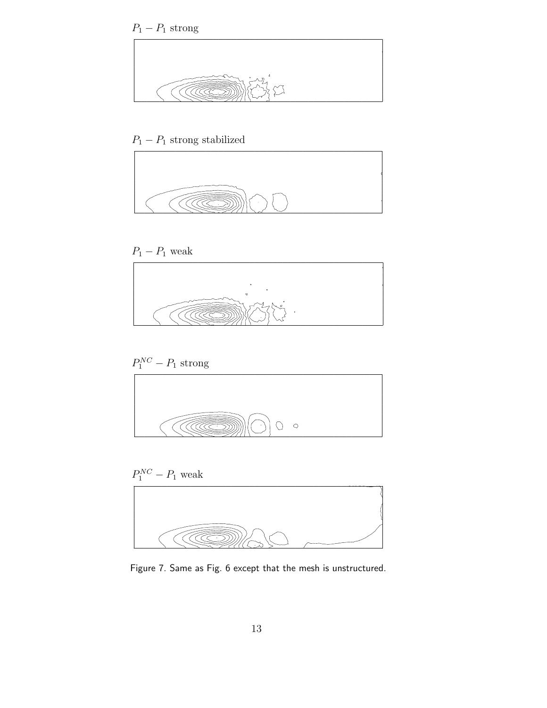



# $\mathcal{P}_1 - \mathcal{P}_1$  strong stabilized



### $P_1 - P_1$  weak



## $P_1^{NC} - P_1$  strong





Figure 7. Same as Fig. 6 except that the mesh is unstructured.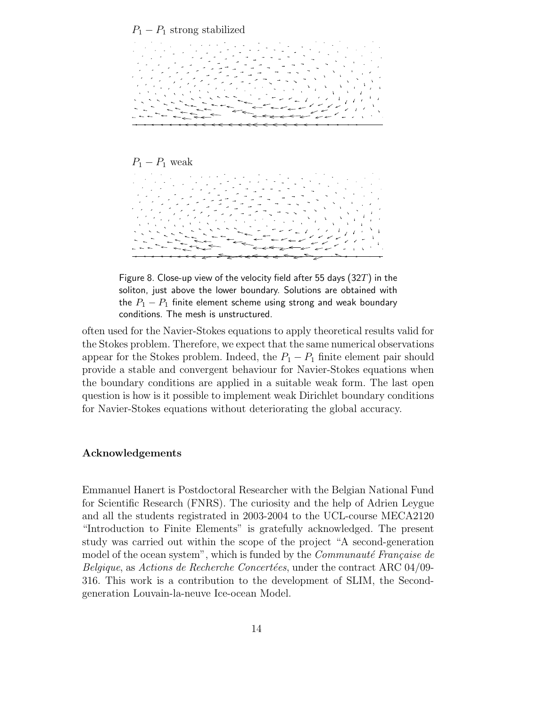





Figure 8. Close-up view of the velocity field after 55 days (32T) in the soliton, just above the lower boundary. Solutions are obtained with the  $P_1 - P_1$  finite element scheme using strong and weak boundary conditions. The mesh is unstructured.

often used for the Navier-Stokes equations to apply theoretical results valid for the Stokes problem. Therefore, we expect that the same numerical observations appear for the Stokes problem. Indeed, the  $P_1 - P_1$  finite element pair should provide a stable and convergent behaviour for Navier-Stokes equations when the boundary conditions are applied in a suitable weak form. The last open question is how is it possible to implement weak Dirichlet boundary conditions for Navier-Stokes equations without deteriorating the global accuracy.

### Acknowledgements

Emmanuel Hanert is Postdoctoral Researcher with the Belgian National Fund for Scientific Research (FNRS). The curiosity and the help of Adrien Leygue and all the students registrated in 2003-2004 to the UCL-course MECA2120 "Introduction to Finite Elements" is gratefully acknowledged. The present study was carried out within the scope of the project "A second-generation model of the ocean system", which is funded by the *Communauté Française de* Belgique, as Actions de Recherche Concertées, under the contract ARC 04/09-316. This work is a contribution to the development of SLIM, the Secondgeneration Louvain-la-neuve Ice-ocean Model.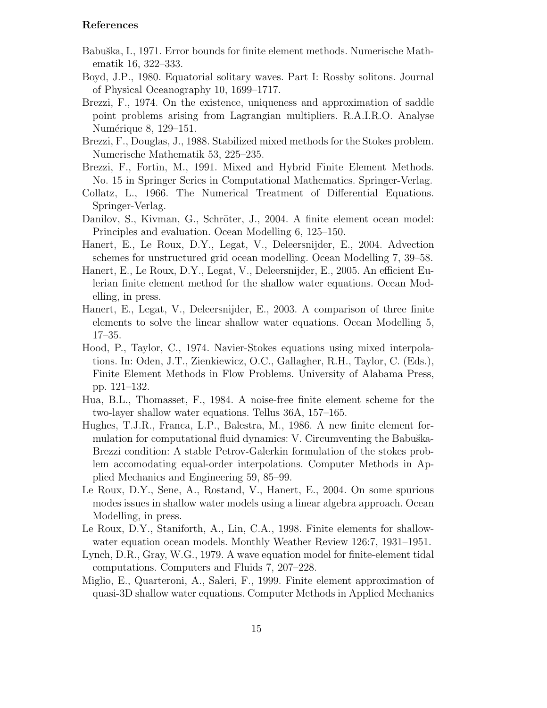### References

- Babu˘ska, I., 1971. Error bounds for finite element methods. Numerische Mathematik 16, 322–333.
- Boyd, J.P., 1980. Equatorial solitary waves. Part I: Rossby solitons. Journal of Physical Oceanography 10, 1699–1717.
- Brezzi, F., 1974. On the existence, uniqueness and approximation of saddle point problems arising from Lagrangian multipliers. R.A.I.R.O. Analyse Numérique 8, 129–151.
- Brezzi, F., Douglas, J., 1988. Stabilized mixed methods for the Stokes problem. Numerische Mathematik 53, 225–235.
- Brezzi, F., Fortin, M., 1991. Mixed and Hybrid Finite Element Methods. No. 15 in Springer Series in Computational Mathematics. Springer-Verlag.
- Collatz, L., 1966. The Numerical Treatment of Differential Equations. Springer-Verlag.
- Danilov, S., Kivman, G., Schröter, J., 2004. A finite element ocean model: Principles and evaluation. Ocean Modelling 6, 125–150.
- Hanert, E., Le Roux, D.Y., Legat, V., Deleersnijder, E., 2004. Advection schemes for unstructured grid ocean modelling. Ocean Modelling 7, 39–58.
- Hanert, E., Le Roux, D.Y., Legat, V., Deleersnijder, E., 2005. An efficient Eulerian finite element method for the shallow water equations. Ocean Modelling, in press.
- Hanert, E., Legat, V., Deleersnijder, E., 2003. A comparison of three finite elements to solve the linear shallow water equations. Ocean Modelling 5, 17–35.
- Hood, P., Taylor, C., 1974. Navier-Stokes equations using mixed interpolations. In: Oden, J.T., Zienkiewicz, O.C., Gallagher, R.H., Taylor, C. (Eds.), Finite Element Methods in Flow Problems. University of Alabama Press, pp. 121–132.
- Hua, B.L., Thomasset, F., 1984. A noise-free finite element scheme for the two-layer shallow water equations. Tellus 36A, 157–165.
- Hughes, T.J.R., Franca, L.P., Balestra, M., 1986. A new finite element formulation for computational fluid dynamics: V. Circumventing the Babuška-Brezzi condition: A stable Petrov-Galerkin formulation of the stokes problem accomodating equal-order interpolations. Computer Methods in Applied Mechanics and Engineering 59, 85–99.
- Le Roux, D.Y., Sene, A., Rostand, V., Hanert, E., 2004. On some spurious modes issues in shallow water models using a linear algebra approach. Ocean Modelling, in press.
- Le Roux, D.Y., Staniforth, A., Lin, C.A., 1998. Finite elements for shallowwater equation ocean models. Monthly Weather Review 126:7, 1931–1951.
- Lynch, D.R., Gray, W.G., 1979. A wave equation model for finite-element tidal computations. Computers and Fluids 7, 207–228.
- Miglio, E., Quarteroni, A., Saleri, F., 1999. Finite element approximation of quasi-3D shallow water equations. Computer Methods in Applied Mechanics